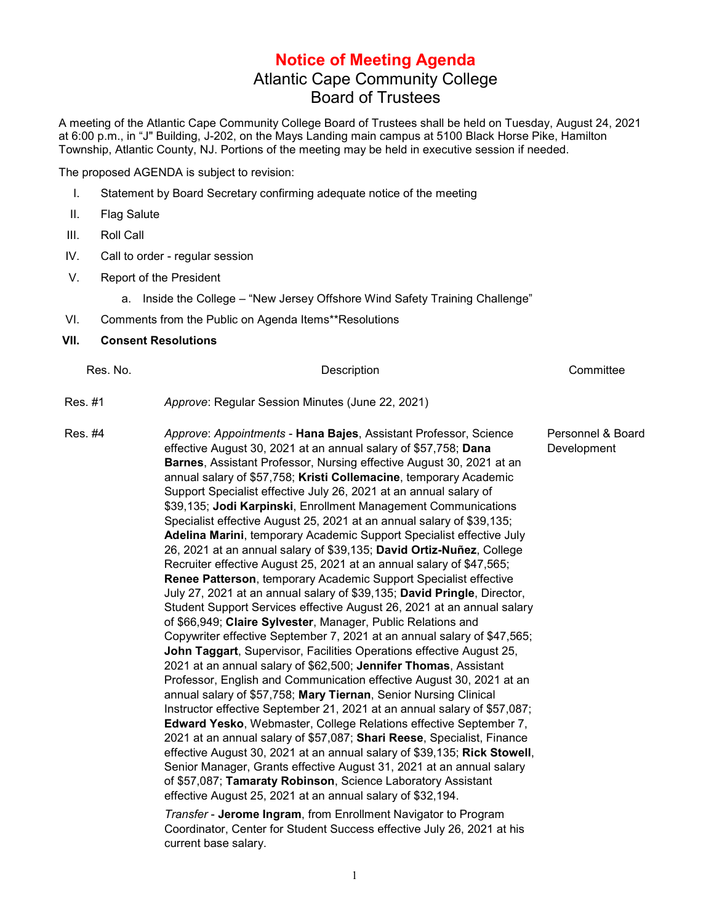## **Notice of Meeting Agenda** Atlantic Cape Community College Board of Trustees

A meeting of the Atlantic Cape Community College Board of Trustees shall be held on Tuesday, August 24, 2021 at 6:00 p.m., in "J" Building, J-202, on the Mays Landing main campus at 5100 Black Horse Pike, Hamilton Township, Atlantic County, NJ. Portions of the meeting may be held in executive session if needed.

The proposed AGENDA is subject to revision:

- I. Statement by Board Secretary confirming adequate notice of the meeting
- II. Flag Salute
- III. Roll Call
- IV. Call to order regular session
- V. Report of the President
	- a. Inside the College "New Jersey Offshore Wind Safety Training Challenge"
- VI. Comments from the Public on Agenda Items\*\*Resolutions
- **VII. Consent Resolutions**

| Res. No. | Description                                                                                                                                                                                                                                                                                                                                                                                                                                                                                                                                                                                                                                                                                                                                                                                                                                                                                                                                                                                                                                                                                                                                                                                                                                                                                                                                                                                                                                                                                                                                                                                                                                                                                                                                                                                                                                                                                       | Committee                        |
|----------|---------------------------------------------------------------------------------------------------------------------------------------------------------------------------------------------------------------------------------------------------------------------------------------------------------------------------------------------------------------------------------------------------------------------------------------------------------------------------------------------------------------------------------------------------------------------------------------------------------------------------------------------------------------------------------------------------------------------------------------------------------------------------------------------------------------------------------------------------------------------------------------------------------------------------------------------------------------------------------------------------------------------------------------------------------------------------------------------------------------------------------------------------------------------------------------------------------------------------------------------------------------------------------------------------------------------------------------------------------------------------------------------------------------------------------------------------------------------------------------------------------------------------------------------------------------------------------------------------------------------------------------------------------------------------------------------------------------------------------------------------------------------------------------------------------------------------------------------------------------------------------------------------|----------------------------------|
| Res. #1  | Approve: Regular Session Minutes (June 22, 2021)                                                                                                                                                                                                                                                                                                                                                                                                                                                                                                                                                                                                                                                                                                                                                                                                                                                                                                                                                                                                                                                                                                                                                                                                                                                                                                                                                                                                                                                                                                                                                                                                                                                                                                                                                                                                                                                  |                                  |
| Res. #4  | Approve: Appointments - Hana Bajes, Assistant Professor, Science<br>effective August 30, 2021 at an annual salary of \$57,758; Dana<br>Barnes, Assistant Professor, Nursing effective August 30, 2021 at an<br>annual salary of \$57,758; Kristi Collemacine, temporary Academic<br>Support Specialist effective July 26, 2021 at an annual salary of<br>\$39,135; Jodi Karpinski, Enrollment Management Communications<br>Specialist effective August 25, 2021 at an annual salary of \$39,135;<br>Adelina Marini, temporary Academic Support Specialist effective July<br>26, 2021 at an annual salary of \$39,135; David Ortiz-Nuñez, College<br>Recruiter effective August 25, 2021 at an annual salary of \$47,565;<br>Renee Patterson, temporary Academic Support Specialist effective<br>July 27, 2021 at an annual salary of \$39,135; David Pringle, Director,<br>Student Support Services effective August 26, 2021 at an annual salary<br>of \$66,949; Claire Sylvester, Manager, Public Relations and<br>Copywriter effective September 7, 2021 at an annual salary of \$47,565;<br>John Taggart, Supervisor, Facilities Operations effective August 25,<br>2021 at an annual salary of \$62,500; Jennifer Thomas, Assistant<br>Professor, English and Communication effective August 30, 2021 at an<br>annual salary of \$57,758; Mary Tiernan, Senior Nursing Clinical<br>Instructor effective September 21, 2021 at an annual salary of \$57,087;<br>Edward Yesko, Webmaster, College Relations effective September 7,<br>2021 at an annual salary of \$57,087; Shari Reese, Specialist, Finance<br>effective August 30, 2021 at an annual salary of \$39,135; Rick Stowell,<br>Senior Manager, Grants effective August 31, 2021 at an annual salary<br>of \$57,087; Tamaraty Robinson, Science Laboratory Assistant<br>effective August 25, 2021 at an annual salary of \$32,194. | Personnel & Board<br>Development |
|          | Transfer - Jerome Ingram, from Enrollment Navigator to Program<br>Coordinator, Center for Student Success effective July 26, 2021 at his<br>current base salary.                                                                                                                                                                                                                                                                                                                                                                                                                                                                                                                                                                                                                                                                                                                                                                                                                                                                                                                                                                                                                                                                                                                                                                                                                                                                                                                                                                                                                                                                                                                                                                                                                                                                                                                                  |                                  |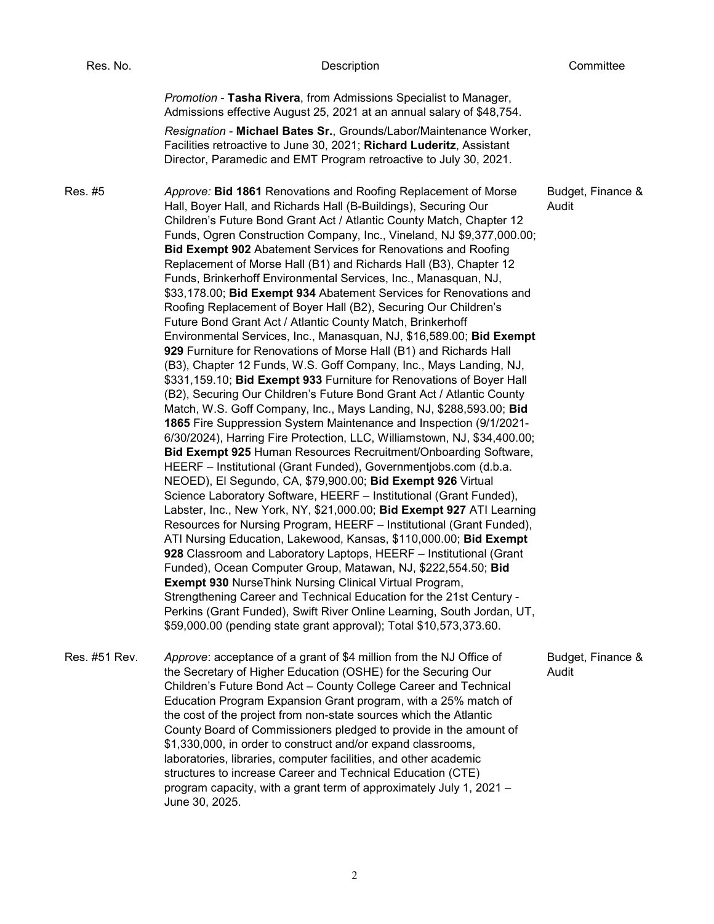| Res. No.      | Description                                                                                                                                                                                                                                                                                                                                                                                                                                                                                                                                                                                                                                                                                                                                                                                                                                                                                                                                                                                                                                                                                                                                                                                                                                                                                                                                                                                                                                                                                                                                                                                                                                                                                                                                                                                                                                                                                                                                                                                                                                                                                                                                                                                                                               | Committee                  |
|---------------|-------------------------------------------------------------------------------------------------------------------------------------------------------------------------------------------------------------------------------------------------------------------------------------------------------------------------------------------------------------------------------------------------------------------------------------------------------------------------------------------------------------------------------------------------------------------------------------------------------------------------------------------------------------------------------------------------------------------------------------------------------------------------------------------------------------------------------------------------------------------------------------------------------------------------------------------------------------------------------------------------------------------------------------------------------------------------------------------------------------------------------------------------------------------------------------------------------------------------------------------------------------------------------------------------------------------------------------------------------------------------------------------------------------------------------------------------------------------------------------------------------------------------------------------------------------------------------------------------------------------------------------------------------------------------------------------------------------------------------------------------------------------------------------------------------------------------------------------------------------------------------------------------------------------------------------------------------------------------------------------------------------------------------------------------------------------------------------------------------------------------------------------------------------------------------------------------------------------------------------------|----------------------------|
|               | Promotion - Tasha Rivera, from Admissions Specialist to Manager,<br>Admissions effective August 25, 2021 at an annual salary of \$48,754.<br>Resignation - Michael Bates Sr., Grounds/Labor/Maintenance Worker,<br>Facilities retroactive to June 30, 2021; Richard Luderitz, Assistant<br>Director, Paramedic and EMT Program retroactive to July 30, 2021.                                                                                                                                                                                                                                                                                                                                                                                                                                                                                                                                                                                                                                                                                                                                                                                                                                                                                                                                                                                                                                                                                                                                                                                                                                                                                                                                                                                                                                                                                                                                                                                                                                                                                                                                                                                                                                                                              |                            |
| Res. #5       | Approve: Bid 1861 Renovations and Roofing Replacement of Morse<br>Hall, Boyer Hall, and Richards Hall (B-Buildings), Securing Our<br>Children's Future Bond Grant Act / Atlantic County Match, Chapter 12<br>Funds, Ogren Construction Company, Inc., Vineland, NJ \$9,377,000.00;<br><b>Bid Exempt 902 Abatement Services for Renovations and Roofing</b><br>Replacement of Morse Hall (B1) and Richards Hall (B3), Chapter 12<br>Funds, Brinkerhoff Environmental Services, Inc., Manasquan, NJ,<br>\$33,178.00; Bid Exempt 934 Abatement Services for Renovations and<br>Roofing Replacement of Boyer Hall (B2), Securing Our Children's<br>Future Bond Grant Act / Atlantic County Match, Brinkerhoff<br>Environmental Services, Inc., Manasquan, NJ, \$16,589.00; Bid Exempt<br>929 Furniture for Renovations of Morse Hall (B1) and Richards Hall<br>(B3), Chapter 12 Funds, W.S. Goff Company, Inc., Mays Landing, NJ,<br>\$331,159.10; Bid Exempt 933 Furniture for Renovations of Boyer Hall<br>(B2), Securing Our Children's Future Bond Grant Act / Atlantic County<br>Match, W.S. Goff Company, Inc., Mays Landing, NJ, \$288,593.00; Bid<br>1865 Fire Suppression System Maintenance and Inspection (9/1/2021-<br>6/30/2024), Harring Fire Protection, LLC, Williamstown, NJ, \$34,400.00;<br>Bid Exempt 925 Human Resources Recruitment/Onboarding Software,<br>HEERF - Institutional (Grant Funded), Governmentjobs.com (d.b.a.<br>NEOED), El Segundo, CA, \$79,900.00; Bid Exempt 926 Virtual<br>Science Laboratory Software, HEERF - Institutional (Grant Funded),<br>Labster, Inc., New York, NY, \$21,000.00; Bid Exempt 927 ATI Learning<br>Resources for Nursing Program, HEERF - Institutional (Grant Funded),<br>ATI Nursing Education, Lakewood, Kansas, \$110,000.00; Bid Exempt<br>928 Classroom and Laboratory Laptops, HEERF - Institutional (Grant<br>Funded), Ocean Computer Group, Matawan, NJ, \$222,554.50; Bid<br><b>Exempt 930 NurseThink Nursing Clinical Virtual Program,</b><br>Strengthening Career and Technical Education for the 21st Century -<br>Perkins (Grant Funded), Swift River Online Learning, South Jordan, UT,<br>\$59,000.00 (pending state grant approval); Total \$10,573,373.60. | Budget, Finance &<br>Audit |
| Res. #51 Rev. | Approve: acceptance of a grant of \$4 million from the NJ Office of<br>the Secretary of Higher Education (OSHE) for the Securing Our<br>Children's Future Bond Act - County College Career and Technical<br>Education Program Expansion Grant program, with a 25% match of<br>the cost of the project from non-state sources which the Atlantic<br>County Board of Commissioners pledged to provide in the amount of<br>\$1,330,000, in order to construct and/or expand classrooms,<br>laboratories, libraries, computer facilities, and other academic<br>structures to increase Career and Technical Education (CTE)<br>program capacity, with a grant term of approximately July 1, 2021 -<br>June 30, 2025.                                                                                                                                                                                                                                                                                                                                                                                                                                                                                                                                                                                                                                                                                                                                                                                                                                                                                                                                                                                                                                                                                                                                                                                                                                                                                                                                                                                                                                                                                                                          | Budget, Finance &<br>Audit |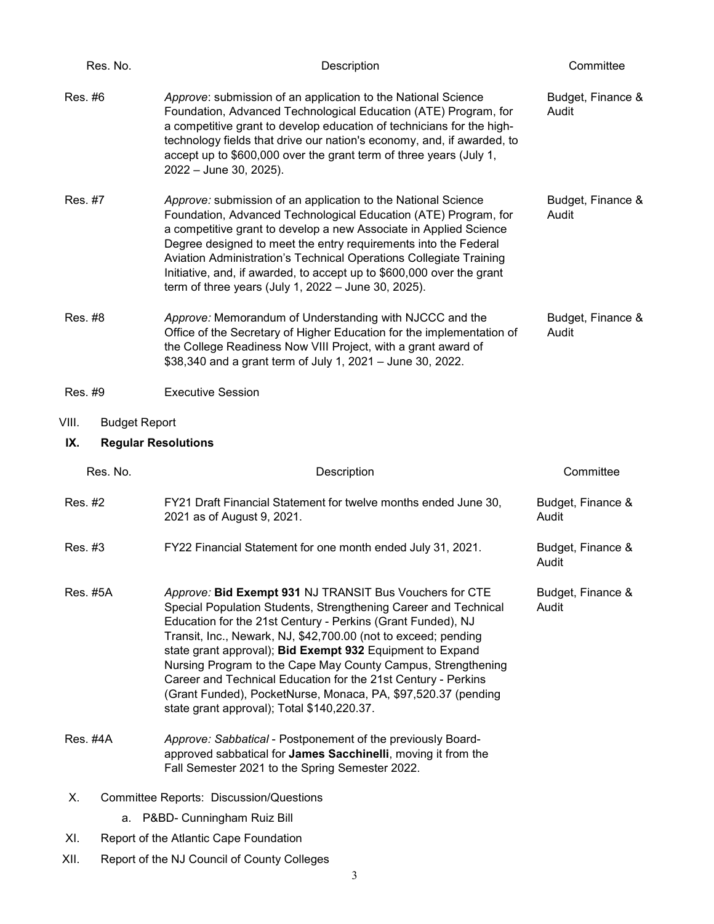| Res. No.                      | Description                                                                                                                                                                                                                                                                                                                                                                                                                                                                                                                                                              | Committee                  |
|-------------------------------|--------------------------------------------------------------------------------------------------------------------------------------------------------------------------------------------------------------------------------------------------------------------------------------------------------------------------------------------------------------------------------------------------------------------------------------------------------------------------------------------------------------------------------------------------------------------------|----------------------------|
| Res. #6                       | Approve: submission of an application to the National Science<br>Foundation, Advanced Technological Education (ATE) Program, for<br>a competitive grant to develop education of technicians for the high-<br>technology fields that drive our nation's economy, and, if awarded, to<br>accept up to \$600,000 over the grant term of three years (July 1,<br>2022 - June 30, 2025).                                                                                                                                                                                      | Budget, Finance &<br>Audit |
| Res. #7                       | Approve: submission of an application to the National Science<br>Foundation, Advanced Technological Education (ATE) Program, for<br>a competitive grant to develop a new Associate in Applied Science<br>Degree designed to meet the entry requirements into the Federal<br>Aviation Administration's Technical Operations Collegiate Training<br>Initiative, and, if awarded, to accept up to \$600,000 over the grant<br>term of three years (July 1, $2022 -$ June 30, 2025).                                                                                         | Budget, Finance &<br>Audit |
| Res. #8                       | Approve: Memorandum of Understanding with NJCCC and the<br>Office of the Secretary of Higher Education for the implementation of<br>the College Readiness Now VIII Project, with a grant award of<br>\$38,340 and a grant term of July 1, 2021 - June 30, 2022.                                                                                                                                                                                                                                                                                                          | Budget, Finance &<br>Audit |
| Res. #9                       | <b>Executive Session</b>                                                                                                                                                                                                                                                                                                                                                                                                                                                                                                                                                 |                            |
| VIII.<br><b>Budget Report</b> |                                                                                                                                                                                                                                                                                                                                                                                                                                                                                                                                                                          |                            |
| IX.                           | <b>Regular Resolutions</b>                                                                                                                                                                                                                                                                                                                                                                                                                                                                                                                                               |                            |
|                               |                                                                                                                                                                                                                                                                                                                                                                                                                                                                                                                                                                          |                            |
| Res. No.                      | Description                                                                                                                                                                                                                                                                                                                                                                                                                                                                                                                                                              | Committee                  |
| Res. #2                       | FY21 Draft Financial Statement for twelve months ended June 30,<br>2021 as of August 9, 2021.                                                                                                                                                                                                                                                                                                                                                                                                                                                                            | Budget, Finance &<br>Audit |
| Res. #3                       | FY22 Financial Statement for one month ended July 31, 2021.                                                                                                                                                                                                                                                                                                                                                                                                                                                                                                              | Budget, Finance &<br>Audit |
| <b>Res. #5A</b>               | Approve: Bid Exempt 931 NJ TRANSIT Bus Vouchers for CTE<br>Special Population Students, Strengthening Career and Technical<br>Education for the 21st Century - Perkins (Grant Funded), NJ<br>Transit, Inc., Newark, NJ, \$42,700.00 (not to exceed; pending<br>state grant approval); Bid Exempt 932 Equipment to Expand<br>Nursing Program to the Cape May County Campus, Strengthening<br>Career and Technical Education for the 21st Century - Perkins<br>(Grant Funded), PocketNurse, Monaca, PA, \$97,520.37 (pending<br>state grant approval); Total \$140,220.37. | Budget, Finance &<br>Audit |
| Res. #4A                      | Approve: Sabbatical - Postponement of the previously Board-<br>approved sabbatical for James Sacchinelli, moving it from the<br>Fall Semester 2021 to the Spring Semester 2022.                                                                                                                                                                                                                                                                                                                                                                                          |                            |
| Х.                            | Committee Reports: Discussion/Questions                                                                                                                                                                                                                                                                                                                                                                                                                                                                                                                                  |                            |
|                               | a. P&BD- Cunningham Ruiz Bill                                                                                                                                                                                                                                                                                                                                                                                                                                                                                                                                            |                            |
| XI.                           | Report of the Atlantic Cape Foundation                                                                                                                                                                                                                                                                                                                                                                                                                                                                                                                                   |                            |